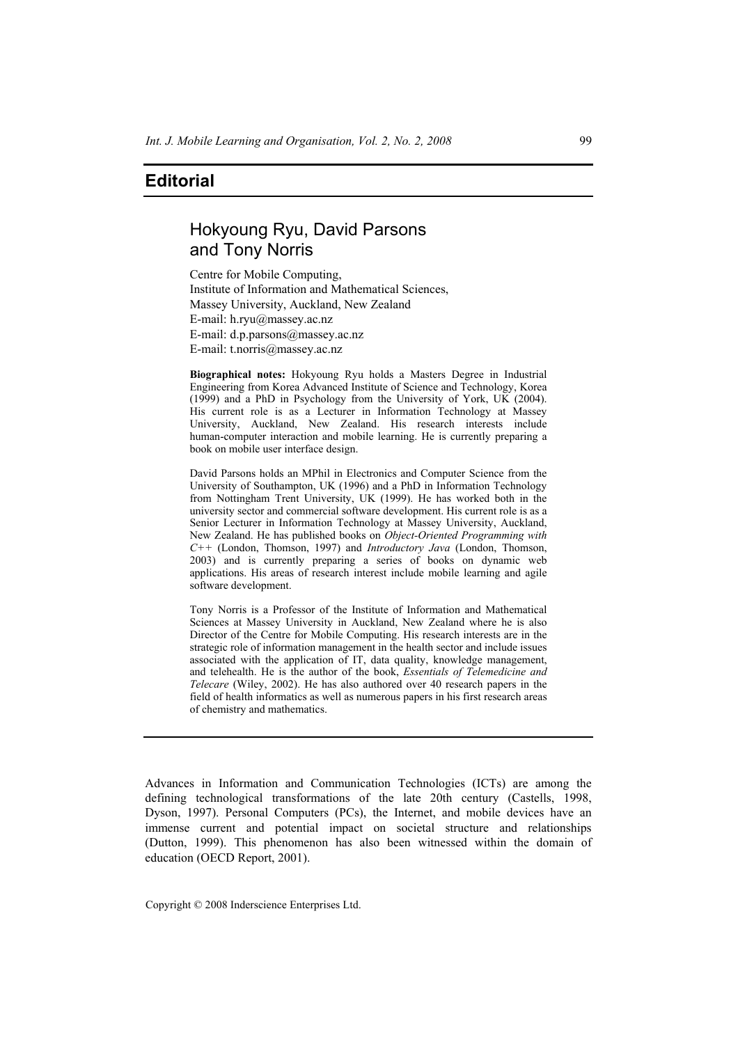## **Editorial**

# Hokyoung Ryu, David Parsons and Tony Norris

Centre for Mobile Computing, Institute of Information and Mathematical Sciences, Massey University, Auckland, New Zealand E-mail: h.ryu@massey.ac.nz E-mail: d.p.parsons@massey.ac.nz E-mail: t.norris@massey.ac.nz

**Biographical notes:** Hokyoung Ryu holds a Masters Degree in Industrial Engineering from Korea Advanced Institute of Science and Technology, Korea (1999) and a PhD in Psychology from the University of York, UK (2004). His current role is as a Lecturer in Information Technology at Massey University, Auckland, New Zealand. His research interests include human-computer interaction and mobile learning. He is currently preparing a book on mobile user interface design.

David Parsons holds an MPhil in Electronics and Computer Science from the University of Southampton, UK (1996) and a PhD in Information Technology from Nottingham Trent University, UK (1999). He has worked both in the university sector and commercial software development. His current role is as a Senior Lecturer in Information Technology at Massey University, Auckland, New Zealand. He has published books on *Object-Oriented Programming with C++* (London, Thomson, 1997) and *Introductory Java* (London, Thomson, 2003) and is currently preparing a series of books on dynamic web applications. His areas of research interest include mobile learning and agile software development.

Tony Norris is a Professor of the Institute of Information and Mathematical Sciences at Massey University in Auckland, New Zealand where he is also Director of the Centre for Mobile Computing. His research interests are in the strategic role of information management in the health sector and include issues associated with the application of IT, data quality, knowledge management, and telehealth. He is the author of the book, *Essentials of Telemedicine and Telecare* (Wiley, 2002). He has also authored over 40 research papers in the field of health informatics as well as numerous papers in his first research areas of chemistry and mathematics.

Advances in Information and Communication Technologies (ICTs) are among the defining technological transformations of the late 20th century (Castells, 1998, Dyson, 1997). Personal Computers (PCs), the Internet, and mobile devices have an immense current and potential impact on societal structure and relationships (Dutton, 1999). This phenomenon has also been witnessed within the domain of education (OECD Report, 2001).

Copyright © 2008 Inderscience Enterprises Ltd.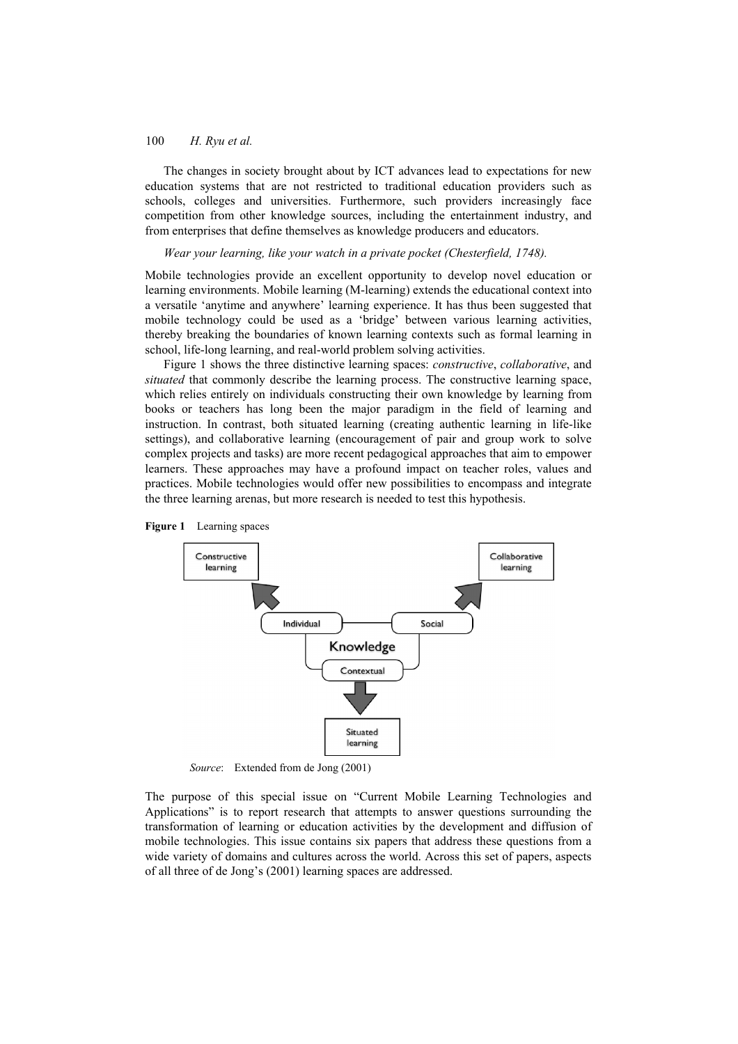## 100 *H. Ryu et al.*

The changes in society brought about by ICT advances lead to expectations for new education systems that are not restricted to traditional education providers such as schools, colleges and universities. Furthermore, such providers increasingly face competition from other knowledge sources, including the entertainment industry, and from enterprises that define themselves as knowledge producers and educators.

*Wear your learning, like your watch in a private pocket (Chesterfield, 1748).* 

Mobile technologies provide an excellent opportunity to develop novel education or learning environments. Mobile learning (M-learning) extends the educational context into a versatile 'anytime and anywhere' learning experience. It has thus been suggested that mobile technology could be used as a 'bridge' between various learning activities, thereby breaking the boundaries of known learning contexts such as formal learning in school, life-long learning, and real-world problem solving activities.

Figure 1 shows the three distinctive learning spaces: *constructive*, *collaborative*, and *situated* that commonly describe the learning process. The constructive learning space, which relies entirely on individuals constructing their own knowledge by learning from books or teachers has long been the major paradigm in the field of learning and instruction. In contrast, both situated learning (creating authentic learning in life-like settings), and collaborative learning (encouragement of pair and group work to solve complex projects and tasks) are more recent pedagogical approaches that aim to empower learners. These approaches may have a profound impact on teacher roles, values and practices. Mobile technologies would offer new possibilities to encompass and integrate the three learning arenas, but more research is needed to test this hypothesis.



*Source*: Extended from de Jong (2001)

The purpose of this special issue on "Current Mobile Learning Technologies and Applications" is to report research that attempts to answer questions surrounding the transformation of learning or education activities by the development and diffusion of mobile technologies. This issue contains six papers that address these questions from a wide variety of domains and cultures across the world. Across this set of papers, aspects of all three of de Jong's (2001) learning spaces are addressed.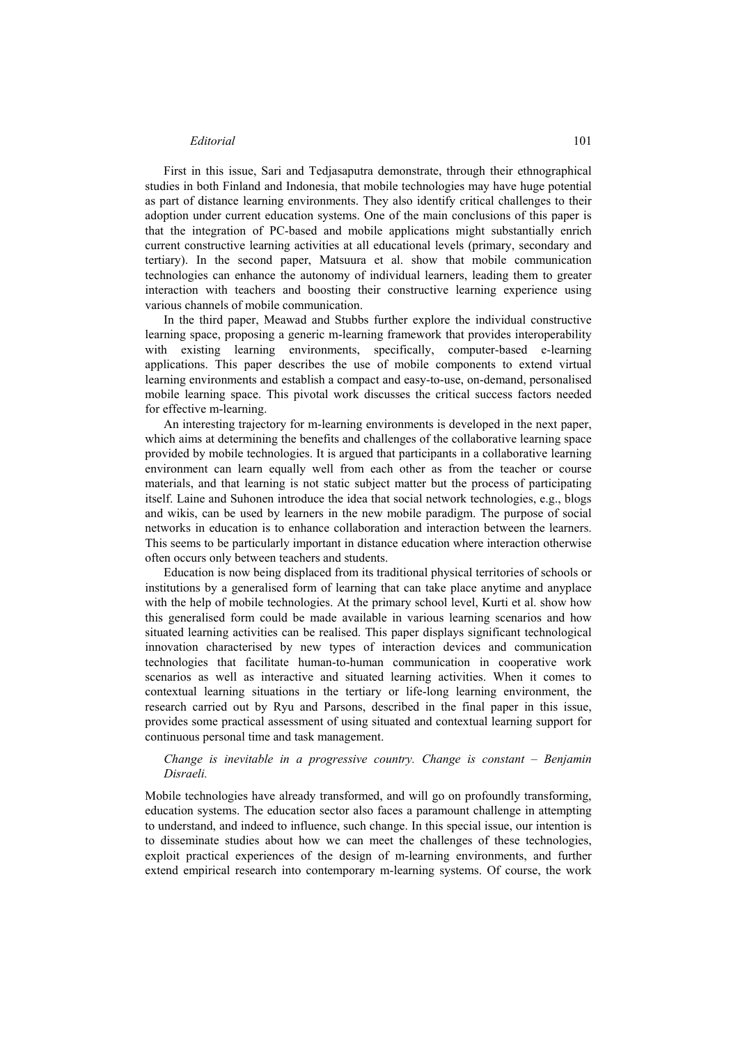#### *Editorial* 101

First in this issue, Sari and Tedjasaputra demonstrate, through their ethnographical studies in both Finland and Indonesia, that mobile technologies may have huge potential as part of distance learning environments. They also identify critical challenges to their adoption under current education systems. One of the main conclusions of this paper is that the integration of PC-based and mobile applications might substantially enrich current constructive learning activities at all educational levels (primary, secondary and tertiary). In the second paper, Matsuura et al. show that mobile communication technologies can enhance the autonomy of individual learners, leading them to greater interaction with teachers and boosting their constructive learning experience using various channels of mobile communication.

In the third paper, Meawad and Stubbs further explore the individual constructive learning space, proposing a generic m-learning framework that provides interoperability with existing learning environments, specifically, computer-based e-learning applications. This paper describes the use of mobile components to extend virtual learning environments and establish a compact and easy-to-use, on-demand, personalised mobile learning space. This pivotal work discusses the critical success factors needed for effective m-learning.

An interesting trajectory for m-learning environments is developed in the next paper, which aims at determining the benefits and challenges of the collaborative learning space provided by mobile technologies. It is argued that participants in a collaborative learning environment can learn equally well from each other as from the teacher or course materials, and that learning is not static subject matter but the process of participating itself. Laine and Suhonen introduce the idea that social network technologies, e.g., blogs and wikis, can be used by learners in the new mobile paradigm. The purpose of social networks in education is to enhance collaboration and interaction between the learners. This seems to be particularly important in distance education where interaction otherwise often occurs only between teachers and students.

Education is now being displaced from its traditional physical territories of schools or institutions by a generalised form of learning that can take place anytime and anyplace with the help of mobile technologies. At the primary school level, Kurti et al. show how this generalised form could be made available in various learning scenarios and how situated learning activities can be realised. This paper displays significant technological innovation characterised by new types of interaction devices and communication technologies that facilitate human-to-human communication in cooperative work scenarios as well as interactive and situated learning activities. When it comes to contextual learning situations in the tertiary or life-long learning environment, the research carried out by Ryu and Parsons, described in the final paper in this issue, provides some practical assessment of using situated and contextual learning support for continuous personal time and task management.

*Change is inevitable in a progressive country. Change is constant – Benjamin Disraeli.* 

Mobile technologies have already transformed, and will go on profoundly transforming, education systems. The education sector also faces a paramount challenge in attempting to understand, and indeed to influence, such change. In this special issue, our intention is to disseminate studies about how we can meet the challenges of these technologies, exploit practical experiences of the design of m-learning environments, and further extend empirical research into contemporary m-learning systems. Of course, the work